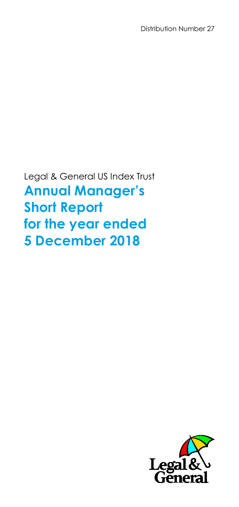Distribution Number 27

Legal & General US Index Trust **Annual Manager's Short Report for the year ended 5 December 2018**

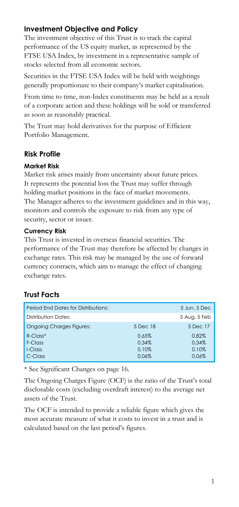## **Investment Objective and Policy**

The investment objective of this Trust is to track the capital performance of the US equity market, as represented by the FTSE USA Index, by investment in a representative sample of stocks selected from all economic sectors.

Securities in the FTSE USA Index will be held with weightings generally proportionate to their company's market capitalisation.

From time to time, non-Index constituents may be held as a result of a corporate action and these holdings will be sold or transferred as soon as reasonably practical.

The Trust may hold derivatives for the purpose of Efficient Portfolio Management.

## **Risk Profile**

### **Market Risk**

Market risk arises mainly from uncertainty about future prices. It represents the potential loss the Trust may suffer through holding market positions in the face of market movements. The Manager adheres to the investment guidelines and in this way, monitors and controls the exposure to risk from any type of security, sector or issuer.

#### **Currency Risk**

This Trust is invested in overseas financial securities. The performance of the Trust may therefore be affected by changes in exchange rates. This risk may be managed by the use of forward currency contracts, which aim to manage the effect of changing exchange rates.

# **Trust Facts**

| Period End Dates for Distributions: |          | 5 Jun, 5 Dec |
|-------------------------------------|----------|--------------|
| Distribution Dates:                 |          | 5 Aug, 5 Feb |
| <b>Ongoing Charges Figures:</b>     | 5 Dec 18 | 5 Dec 17     |
| $R$ -Class <sup>*</sup>             | 0.65%    | 0.82%        |
| F-Class                             | 0.34%    | 0.34%        |
| I-Class                             | 0.10%    | 0.10%        |
| C-Class                             | 0.06%    | 0.06%        |

\* See Significant Changes on page 16.

The Ongoing Charges Figure (OCF) is the ratio of the Trust's total disclosable costs (excluding overdraft interest) to the average net assets of the Trust.

The OCF is intended to provide a reliable figure which gives the most accurate measure of what it costs to invest in a trust and is calculated based on the last period's figures.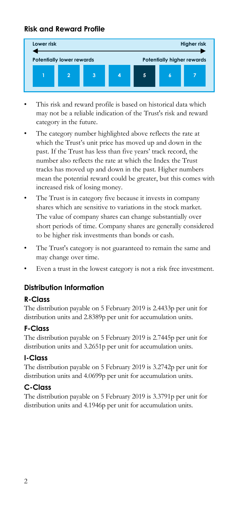## **Risk and Reward Profile**



- This risk and reward profile is based on historical data which may not be a reliable indication of the Trust's risk and reward category in the future.
- The category number highlighted above reflects the rate at which the Trust's unit price has moved up and down in the past. If the Trust has less than five years' track record, the number also reflects the rate at which the Index the Trust tracks has moved up and down in the past. Higher numbers mean the potential reward could be greater, but this comes with increased risk of losing money.
- The Trust is in category five because it invests in company shares which are sensitive to variations in the stock market. The value of company shares can change substantially over short periods of time. Company shares are generally considered to be higher risk investments than bonds or cash.
- The Trust's category is not guaranteed to remain the same and may change over time.
- Even a trust in the lowest category is not a risk free investment.

# **Distribution Information**

## **R-Class**

The distribution payable on 5 February 2019 is 2.4433p per unit for distribution units and 2.8389p per unit for accumulation units.

## **F-Class**

The distribution payable on 5 February 2019 is 2.7445p per unit for distribution units and 3.2651p per unit for accumulation units.

### **I-Class**

The distribution payable on 5 February 2019 is 3.2742p per unit for distribution units and 4.0699p per unit for accumulation units.

## **C-Class**

The distribution payable on 5 February 2019 is 3.3791p per unit for distribution units and 4.1946p per unit for accumulation units.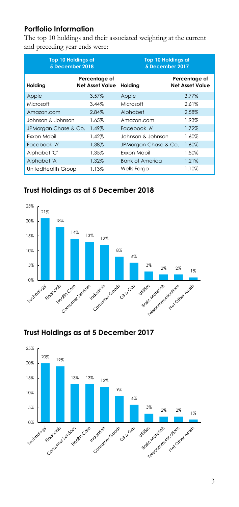## **Portfolio Information**

The top 10 holdings and their associated weighting at the current and preceding year ends were:

|                      | <b>Top 10 Holdings at</b><br>5 December 2018 |                        | Top 10 Holdings at<br>5 December 2017   |  |  |
|----------------------|----------------------------------------------|------------------------|-----------------------------------------|--|--|
| Holding              | Percentage of<br><b>Net Asset Value</b>      | Holding                | Percentage of<br><b>Net Asset Value</b> |  |  |
| Apple                | 3.57%                                        | Apple                  | 3.77%                                   |  |  |
| Microsoft            | 3.44%                                        | Microsoft              | 2.61%                                   |  |  |
| Amazon.com           | 2.84%                                        | Alphabet               | 2.58%                                   |  |  |
| Johnson & Johnson    | 1.65%                                        | Amazon.com             | 1.93%                                   |  |  |
| JPMorgan Chase & Co. | 1.49%                                        | Facebook 'A'           | 1.72%                                   |  |  |
| <b>Fxxon Mobil</b>   | 1.42%                                        | Johnson & Johnson      | 1.60%                                   |  |  |
| Facebook 'A'         | 1.38%                                        | JPMorgan Chase & Co.   | 1.60%                                   |  |  |
| Alphabet 'C'         | 1.35%                                        | <b>Fxxon Mobil</b>     | 1.50%                                   |  |  |
| Alphabet 'A'         | 1.32%                                        | <b>Bank of America</b> | 1.21%                                   |  |  |
| UnitedHealth Group   | 1.13%                                        | <b>Wells Fargo</b>     | 1.10%                                   |  |  |

## **Trust Holdings as at 5 December 2018**



## **Trust Holdings as at 5 December 2017**

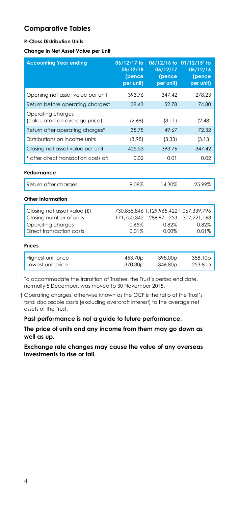## **Comparative Tables**

#### **R-Class Distribution Units**

**Change in Net Asset Value per Unit**

| <b>Accounting Year ending</b>                      | 06/12/17 to<br>05/12/18<br>(pence<br>per unit) | $06/12/16$ to<br>05/12/17<br>(pence<br>per unit) | $01/12/15$ <sup>1</sup> to<br>05/12/16<br>(pence<br>per unit) |
|----------------------------------------------------|------------------------------------------------|--------------------------------------------------|---------------------------------------------------------------|
| Opening net asset value per unit                   | 393.76                                         | 347.42                                           | 278.23                                                        |
| Return before operating charges*                   | 38.43                                          | 52.78                                            | 74.80                                                         |
| Operating charges<br>(calculated on average price) | (2.68)                                         | (3.11)                                           | (2.48)                                                        |
| Return after operating charges*                    | 35.75                                          | 49.67                                            | 72.32                                                         |
| Distributions on income units                      | (3.98)                                         | (3.33)                                           | (3.13)                                                        |
| Closing net asset value per unit                   | 425.53                                         | 393.76                                           | 347.42                                                        |
| * after direct transaction costs of:               | 0.02                                           | 0.01                                             | 0.02                                                          |
| Performance                                        |                                                |                                                  |                                                               |
| Return after charges                               | 9.08%                                          | 14.30%                                           | 25.99%                                                        |
| Other Information                                  |                                                |                                                  |                                                               |
| Closing net asset value (£)                        |                                                | 730,855,846 1,129,965,422 1,067,339,796          |                                                               |
| Closing number of units                            | 171.750.342                                    | 286,971,253                                      | 307,221,163                                                   |
| Operating chargest                                 | 0.65%                                          | 0.82%                                            | 0.82%                                                         |
| Direct transaction costs                           | 0.01%                                          | 0.00%                                            | 0.01%                                                         |
| Prices                                             |                                                |                                                  |                                                               |
| Highest unit price<br>Lowest unit price            | 453.70p<br>370.30p                             | 398.00 <sub>p</sub><br>346.80p                   | 358.10 <sub>p</sub><br>253.80 <sub>p</sub>                    |

<sup>1</sup> To accommodate the transition of Trustee, the Trust's period end date, normally 5 December, was moved to 30 November 2015.

† Operating charges, otherwise known as the OCF is the ratio of the Trust's total disclosable costs (excluding overdraft interest) to the average net assets of the Trust.

**Past performance is not a guide to future performance.**

**The price of units and any income from them may go down as well as up.**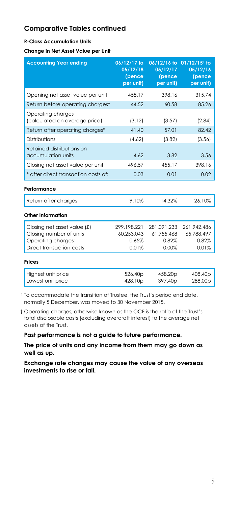#### **R-Class Accumulation Units**

**Change in Net Asset Value per Unit**

| <b>Accounting Year ending</b>                                                                            | 06/12/17 to<br>05/12/18<br>(pence<br>per unit) | 05/12/17<br>(pence<br>per unit)             | 06/12/16 to 01/12/15 <sup>1</sup> to<br>05/12/16<br>(pence<br>per unit) |
|----------------------------------------------------------------------------------------------------------|------------------------------------------------|---------------------------------------------|-------------------------------------------------------------------------|
| Opening net asset value per unit                                                                         | 455.17                                         | 398.16                                      | 315.74                                                                  |
| Return before operating charges*                                                                         | 44.52                                          | 60.58                                       | 85.26                                                                   |
| Operating charges<br>(calculated on average price)                                                       | (3.12)                                         | (3.57)                                      | (2.84)                                                                  |
| Return after operating charges*                                                                          | 41.40                                          | 57.01                                       | 82.42                                                                   |
| Distributions                                                                                            | (4.62)                                         | (3.82)                                      | (3.56)                                                                  |
| Retained distributions on<br>accumulation units                                                          | 4.62                                           | 3.82                                        | 3.56                                                                    |
| Closing net asset value per unit                                                                         | 496.57                                         | 455.17                                      | 398.16                                                                  |
| * after direct transaction costs of:                                                                     | 0.03                                           | 0.01                                        | 0.02                                                                    |
| Performance                                                                                              |                                                |                                             |                                                                         |
| Return after charges                                                                                     | 9.10%                                          | 14.32%                                      | 26.10%                                                                  |
| Other Information                                                                                        |                                                |                                             |                                                                         |
| Closing net asset value (£)<br>Closing number of units<br>Operating chargest<br>Direct transaction costs | 299,198,221<br>60,253,043<br>0.65%<br>0.01%    | 281,091,233<br>61,755,468<br>0.82%<br>0.00% | 261,942,486<br>65,788,497<br>0.82%<br>0.01%                             |
| Prices                                                                                                   |                                                |                                             |                                                                         |
| Highest unit price<br>Lowest unit price                                                                  | 526.40p<br>428.10p                             | 458.20p<br>397.40p                          | 408.40 <sub>p</sub><br>288.00p                                          |

<sup>1</sup> To accommodate the transition of Trustee, the Trust's period end date, normally 5 December, was moved to 30 November 2015.

† Operating charges, otherwise known as the OCF is the ratio of the Trust's total disclosable costs (excluding overdraft interest) to the average net assets of the Trust.

**Past performance is not a guide to future performance.**

**The price of units and any income from them may go down as well as up.**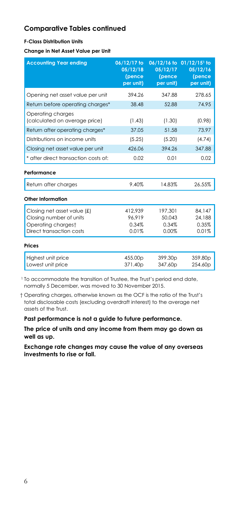#### **F-Class Distribution Units**

**Change in Net Asset Value per Unit**

| <b>Accounting Year ending</b>                      | 06/12/17 to<br>05/12/18<br>(pence<br>per unit) | 05/12/17<br>(pence<br>per unit) | 06/12/16 to 01/12/15 <sup>1</sup> to<br>05/12/16<br>(pence<br>per unit) |
|----------------------------------------------------|------------------------------------------------|---------------------------------|-------------------------------------------------------------------------|
| Opening net asset value per unit                   | 394.26                                         | 347.88                          | 278.65                                                                  |
| Return before operating charges*                   | 38.48                                          | 52.88                           | 74.95                                                                   |
| Operating charges<br>(calculated on average price) | (1.43)                                         | (1.30)                          | (0.98)                                                                  |
| Return after operating charges*                    | 37.05                                          | 51.58                           | 73.97                                                                   |
| Distributions on income units                      | (5.25)                                         | (5.20)                          | (4.74)                                                                  |
| Closing net asset value per unit                   | 426.06                                         | 394.26                          | 347.88                                                                  |
| * after direct transaction costs of:               | 0.02                                           | 0.01                            | 0.02                                                                    |
| Performance                                        |                                                |                                 |                                                                         |
| Return after charges                               | 9.40%                                          | 14.83%                          | 26.55%                                                                  |
| Other Information                                  |                                                |                                 |                                                                         |
| Closing net asset value (£)                        | 412,939                                        | 197.301                         | 84,147                                                                  |
| Closing number of units                            | 96.919                                         | 50.043                          | 24,188                                                                  |
| Operating chargest<br>Direct transaction costs     | 0.34%<br>0.01%                                 | 0.34%<br>0.00%                  | 0.35%                                                                   |
|                                                    |                                                |                                 | 0.01%                                                                   |
| Prices                                             |                                                |                                 |                                                                         |
| Highest unit price<br>Lowest unit price            | 455.00 <sub>p</sub><br>371.40p                 | 399.30 <sub>p</sub><br>347.60p  | 359.80 <sub>p</sub><br>254.60p                                          |

<sup>1</sup> To accommodate the transition of Trustee, the Trust's period end date, normally 5 December, was moved to 30 November 2015.

† Operating charges, otherwise known as the OCF is the ratio of the Trust's total disclosable costs (excluding overdraft interest) to the average net assets of the Trust.

**Past performance is not a guide to future performance.**

**The price of units and any income from them may go down as well as up.**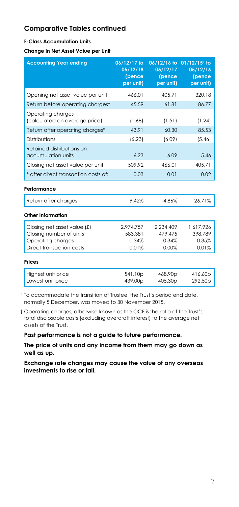#### **F-Class Accumulation Units**

**Change in Net Asset Value per Unit**

| <b>Accounting Year ending</b>                                                                            | 06/12/17 to<br>05/12/18<br>(pence<br>per unit) | 05/12/17<br>(pence<br>per unit)        | 06/12/16 to 01/12/15 <sup>1</sup> to<br>05/12/16<br>(pence<br>per unit) |
|----------------------------------------------------------------------------------------------------------|------------------------------------------------|----------------------------------------|-------------------------------------------------------------------------|
| Opening net asset value per unit                                                                         | 466.01                                         | 405.71                                 | 320.18                                                                  |
| Return before operating charges*                                                                         | 45.59                                          | 61.81                                  | 86.77                                                                   |
| Operating charges<br>(calculated on average price)                                                       | (1.68)                                         | (1.51)                                 | (1.24)                                                                  |
| Return after operating charges*                                                                          | 43.91                                          | 60.30                                  | 85.53                                                                   |
| Distributions                                                                                            | (6.23)                                         | (6.09)                                 | (5.46)                                                                  |
| Retained distributions on<br>accumulation units                                                          | 6.23                                           | 6.09                                   | 5.46                                                                    |
| Closing net asset value per unit                                                                         | 509.92                                         | 466.01                                 | 405.71                                                                  |
| * after direct transaction costs of:                                                                     | 0.03                                           | 0.01                                   | 0.02                                                                    |
| Performance                                                                                              |                                                |                                        |                                                                         |
| Return after charges                                                                                     | 9.42%                                          | 14.86%                                 | 26.71%                                                                  |
| Other Information                                                                                        |                                                |                                        |                                                                         |
| Closing net asset value (£)<br>Closing number of units<br>Operating chargest<br>Direct transaction costs | 2,974,757<br>583.381<br>0.34%<br>0.01%         | 2,234,409<br>479,475<br>0.34%<br>0.00% | 1,617,926<br>398.789<br>0.35%<br>0.01%                                  |
| Prices                                                                                                   |                                                |                                        |                                                                         |
| Highest unit price<br>Lowest unit price                                                                  | 541.10 <sub>p</sub><br>439.00p                 | 468.90 <sub>p</sub><br>405.30p         | 416.60p<br>292.50p                                                      |

<sup>1</sup> To accommodate the transition of Trustee, the Trust's period end date, normally 5 December, was moved to 30 November 2015.

† Operating charges, otherwise known as the OCF is the ratio of the Trust's total disclosable costs (excluding overdraft interest) to the average net assets of the Trust.

**Past performance is not a guide to future performance.**

**The price of units and any income from them may go down as well as up.**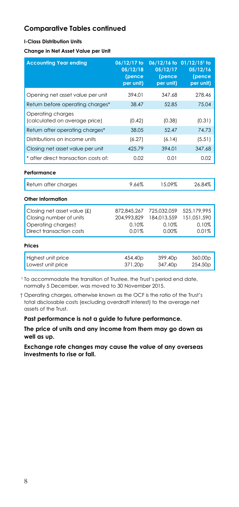#### **I-Class Distribution Units**

**Change in Net Asset Value per Unit**

| <b>Accounting Year ending</b>                                                                            | 06/12/17 to<br>05/12/18<br>(pence<br>per unit) | 05/12/17<br>(pence<br>per unit)              | 06/12/16 to 01/12/15 <sup>1</sup> to<br>05/12/16<br>(pence<br>per unit) |
|----------------------------------------------------------------------------------------------------------|------------------------------------------------|----------------------------------------------|-------------------------------------------------------------------------|
| Opening net asset value per unit                                                                         | 394.01                                         | 347.68                                       | 278.46                                                                  |
| Return before operating charges*                                                                         | 38.47                                          | 52.85                                        | 75.04                                                                   |
| Operating charges<br>(calculated on average price)                                                       | (0.42)                                         | (0.38)                                       | (0.31)                                                                  |
| Return after operating charges*                                                                          | 38.05                                          | 52.47                                        | 74.73                                                                   |
| Distributions on income units                                                                            | (6.27)                                         | (6.14)                                       | (5.51)                                                                  |
| Closing net asset value per unit                                                                         | 425.79                                         | 394.01                                       | 347.68                                                                  |
| * after direct transaction costs of:                                                                     | 0.02                                           | 0.01                                         | 0.02                                                                    |
| Performance                                                                                              |                                                |                                              |                                                                         |
| Return after charges                                                                                     | 9.66%                                          | 15.09%                                       | 26.84%                                                                  |
| Other Information                                                                                        |                                                |                                              |                                                                         |
| Closing net asset value (£)<br>Closing number of units<br>Operating chargest<br>Direct transaction costs | 872,845,267<br>204.993.829<br>0.10%<br>0.01%   | 725,032,059<br>184.013.559<br>0.10%<br>0.00% | 525,179,995<br>151.051.590<br>0.10%<br>0.01%                            |
| Prices                                                                                                   |                                                |                                              |                                                                         |
| Highest unit price<br>Lowest unit price                                                                  | 454.40p<br>371.20p                             | 399.40p<br>347.40p                           | 360.00p<br>254.50p                                                      |

<sup>1</sup> To accommodate the transition of Trustee, the Trust's period end date, normally 5 December, was moved to 30 November 2015.

† Operating charges, otherwise known as the OCF is the ratio of the Trust's total disclosable costs (excluding overdraft interest) to the average net assets of the Trust.

**Past performance is not a guide to future performance.**

**The price of units and any income from them may go down as well as up.**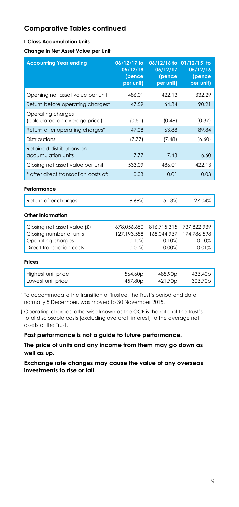#### **I-Class Accumulation Units**

**Change in Net Asset Value per Unit**

| <b>Accounting Year ending</b>                                                                            | 06/12/17 to<br>05/12/18<br>(pence<br>per unit) | 05/12/17<br>(pence<br>per unit)              | 06/12/16 to 01/12/15 <sup>1</sup> to<br>05/12/16<br>(pence<br>per unit) |
|----------------------------------------------------------------------------------------------------------|------------------------------------------------|----------------------------------------------|-------------------------------------------------------------------------|
| Opening net asset value per unit                                                                         | 486.01                                         | 422.13                                       | 332.29                                                                  |
| Return before operating charges*                                                                         | 47.59                                          | 64.34                                        | 90.21                                                                   |
| Operating charges<br>(calculated on average price)                                                       | (0.51)                                         | (0.46)                                       | (0.37)                                                                  |
| Return after operating charges*                                                                          | 47.08                                          | 63.88                                        | 89.84                                                                   |
| Distributions                                                                                            | (7.77)                                         | (7.48)                                       | (6.60)                                                                  |
| Retained distributions on<br>accumulation units                                                          | 7.77                                           | 7.48                                         | 6.60                                                                    |
| Closing net asset value per unit                                                                         | 533.09                                         | 486.01                                       | 422.13                                                                  |
| * after direct transaction costs of:                                                                     | 0.03                                           | 0.01                                         | 0.03                                                                    |
| Performance                                                                                              |                                                |                                              |                                                                         |
| Return after charges                                                                                     | 9.69%                                          | 15.13%                                       | 27.04%                                                                  |
| Other Information                                                                                        |                                                |                                              |                                                                         |
| Closing net asset value (£)<br>Closing number of units<br>Operating chargest<br>Direct transaction costs | 678.056.650<br>127.193.588<br>0.10%<br>0.01%   | 816.715.315<br>168.044.937<br>0.10%<br>0.00% | 737.822.939<br>174.786.598<br>0.10%<br>0.01%                            |
| Prices                                                                                                   |                                                |                                              |                                                                         |
| Highest unit price<br>Lowest unit price                                                                  | 564.60p<br>457.80p                             | 488.90p<br>421.70 <sub>p</sub>               | 433.40 <sub>p</sub><br>303.70 <sub>p</sub>                              |

<sup>1</sup> To accommodate the transition of Trustee, the Trust's period end date, normally 5 December, was moved to 30 November 2015.

† Operating charges, otherwise known as the OCF is the ratio of the Trust's total disclosable costs (excluding overdraft interest) to the average net assets of the Trust.

#### **Past performance is not a guide to future performance.**

**The price of units and any income from them may go down as well as up.**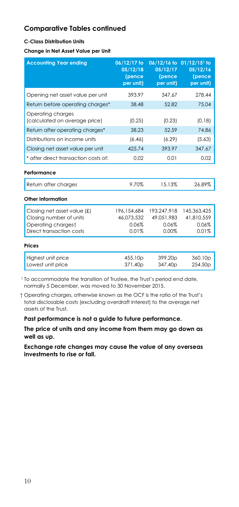#### **C-Class Distribution Units**

**Change in Net Asset Value per Unit**

| <b>Accounting Year ending</b>                                                                            | 06/12/17 to<br>05/12/18<br>(pence<br>per unit) | 05/12/17<br>(pence<br>per unit)             | 06/12/16 to 01/12/15 <sup>1</sup> to<br>05/12/16<br>(pence<br>per unit) |
|----------------------------------------------------------------------------------------------------------|------------------------------------------------|---------------------------------------------|-------------------------------------------------------------------------|
| Opening net asset value per unit                                                                         | 393.97                                         | 347.67                                      | 278.44                                                                  |
| Return before operating charges*                                                                         | 38.48                                          | 52.82                                       | 75.04                                                                   |
| Operating charges<br>(calculated on average price)                                                       | (0.25)                                         | (0.23)                                      | (0.18)                                                                  |
| Return after operating charges*                                                                          | 38.23                                          | 52.59                                       | 74.86                                                                   |
| Distributions on income units                                                                            | (6.46)                                         | (6.29)                                      | (5.63)                                                                  |
| Closing net asset value per unit                                                                         | 425.74                                         | 393.97                                      | 347.67                                                                  |
| * after direct transaction costs of:                                                                     | 0.02                                           | 0.01                                        | 0.02                                                                    |
| Performance                                                                                              |                                                |                                             |                                                                         |
| Return after charges                                                                                     | 9.70%                                          | 15.13%                                      | 26.89%                                                                  |
| Other Information                                                                                        |                                                |                                             |                                                                         |
| Closing net asset value (£)<br>Closing number of units<br>Operating chargest<br>Direct transaction costs | 196.154.684<br>46.073.532<br>0.06%<br>0.01%    | 193,247,918<br>49.051.983<br>0.06%<br>0.00% | 145.363.425<br>41.810.559<br>0.06%<br>0.01%                             |
| Prices                                                                                                   |                                                |                                             |                                                                         |
| Highest unit price<br>Lowest unit price                                                                  | 455.10p<br>371.40 <sub>p</sub>                 | 399.20p<br>347.40 <sub>p</sub>              | 360.10p<br>254.50p                                                      |

<sup>1</sup> To accommodate the transition of Trustee, the Trust's period end date, normally 5 December, was moved to 30 November 2015.

† Operating charges, otherwise known as the OCF is the ratio of the Trust's total disclosable costs (excluding overdraft interest) to the average net assets of the Trust.

**Past performance is not a guide to future performance.**

**The price of units and any income from them may go down as well as up.**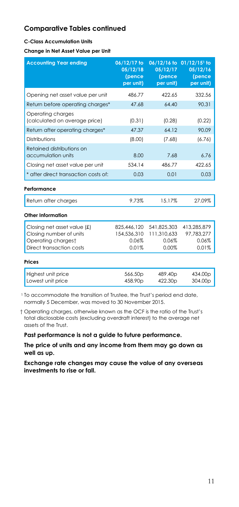#### **C-Class Accumulation Units**

**Change in Net Asset Value per Unit**

| <b>Accounting Year ending</b>                                                                            | 06/12/17 to<br>05/12/18<br>(pence<br>per unit) | 05/12/17<br>(pence<br>per unit)              | 06/12/16 to 01/12/15 <sup>1</sup> to<br>05/12/16<br>(pence<br>per unit) |
|----------------------------------------------------------------------------------------------------------|------------------------------------------------|----------------------------------------------|-------------------------------------------------------------------------|
| Opening net asset value per unit                                                                         | 486.77                                         | 422.65                                       | 332.56                                                                  |
| Return before operating charges*                                                                         | 47.68                                          | 64.40                                        | 90.31                                                                   |
| Operating charges<br>(calculated on average price)                                                       | (0.31)                                         | (0.28)                                       | (0.22)                                                                  |
| Return after operating charges*                                                                          | 47.37                                          | 64.12                                        | 90.09                                                                   |
| <b>Distributions</b>                                                                                     | (0.80)                                         | (7.68)                                       | (6.76)                                                                  |
| Retained distributions on<br>accumulation units                                                          | 8.00                                           | 7.68                                         | 6.76                                                                    |
| Closing net asset value per unit                                                                         | 534.14                                         | 486.77                                       | 422.65                                                                  |
| * after direct transaction costs of:                                                                     | 0.03                                           | 0.01                                         | 0.03                                                                    |
| Performance                                                                                              |                                                |                                              |                                                                         |
| Return after charges                                                                                     | 9.73%                                          | 15.17%                                       | 27.09%                                                                  |
| Other Information                                                                                        |                                                |                                              |                                                                         |
| Closing net asset value (£)<br>Closing number of units<br>Operating chargest<br>Direct transaction costs | 825,446,120<br>154,536,310<br>0.06%<br>0.01%   | 541,825,303<br>111.310.633<br>0.06%<br>0.00% | 413,285,879<br>97.783.277<br>0.06%<br>0.01%                             |
| Prices                                                                                                   |                                                |                                              |                                                                         |
| Highest unit price<br>Lowest unit price                                                                  | 566.50p<br>458.90 <sub>p</sub>                 | 489.40p<br>422.30 <sub>p</sub>               | 434.00p<br>304.00 <sub>p</sub>                                          |

<sup>1</sup> To accommodate the transition of Trustee, the Trust's period end date, normally 5 December, was moved to 30 November 2015.

† Operating charges, otherwise known as the OCF is the ratio of the Trust's total disclosable costs (excluding overdraft interest) to the average net assets of the Trust.

**Past performance is not a guide to future performance.**

**The price of units and any income from them may go down as well as up.**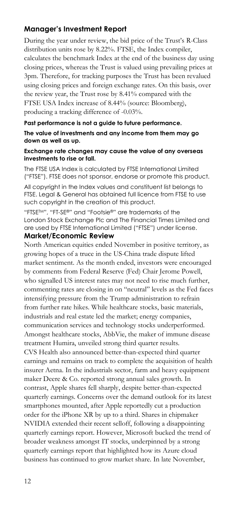## **Manager's Investment Report**

During the year under review, the bid price of the Trust's R-Class distribution units rose by 8.22%. FTSE, the Index compiler, calculates the benchmark Index at the end of the business day using closing prices, whereas the Trust is valued using prevailing prices at 3pm. Therefore, for tracking purposes the Trust has been revalued using closing prices and foreign exchange rates. On this basis, over the review year, the Trust rose by 8.41% compared with the FTSE USA Index increase of 8.44% (source: Bloomberg), producing a tracking difference of -0.03%.

#### **Past performance is not a guide to future performance.**

#### **The value of investments and any income from them may go down as well as up.**

#### **Exchange rate changes may cause the value of any overseas investments to rise or fall.**

The FTSE USA Index is calculated by FTSE International Limited ("FTSE"). FTSE does not sponsor, endorse or promote this product.

All copyright in the Index values and constituent list belongs to FTSE. Legal & General has obtained full licence from FTSE to use such copyright in the creation of this product.

"FTSETM", "FT-SE®" and "Footsie®" are trademarks of the London Stock Exchange Plc and The Financial Times Limited and are used by FTSE International Limited ("FTSE") under license.

#### **Market/Economic Review**

North American equities ended November in positive territory, as growing hopes of a truce in the US-China trade dispute lifted market sentiment. As the month ended, investors were encouraged by comments from Federal Reserve (Fed) Chair Jerome Powell, who signalled US interest rates may not need to rise much further, commenting rates are closing in on "neutral" levels as the Fed faces intensifying pressure from the Trump administration to refrain from further rate hikes. While healthcare stocks, basic materials, industrials and real estate led the market; energy companies, communication services and technology stocks underperformed. Amongst healthcare stocks, AbbVie, the maker of immune disease treatment Humira, unveiled strong third quarter results.

CVS Health also announced better-than-expected third quarter earnings and remains on track to complete the acquisition of health insurer Aetna. In the industrials sector, farm and heavy equipment maker Deere & Co. reported strong annual sales growth. In contrast, Apple shares fell sharply, despite better-than-expected quarterly earnings. Concerns over the demand outlook for its latest smartphones mounted, after Apple reportedly cut a production order for the iPhone XR by up to a third. Shares in chipmaker NVIDIA extended their recent selloff, following a disappointing quarterly earnings report. However, Microsoft bucked the trend of broader weakness amongst IT stocks, underpinned by a strong quarterly earnings report that highlighted how its Azure cloud business has continued to grow market share. In late November,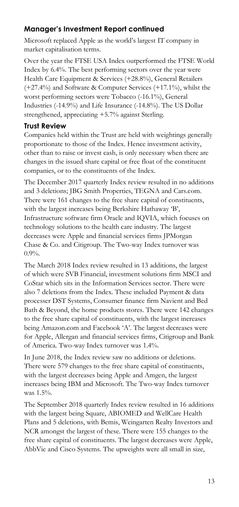## **Manager's Investment Report continued**

Microsoft replaced Apple as the world's largest IT company in market capitalisation terms.

Over the year the FTSE USA Index outperformed the FTSE World Index by 6.4%. The best performing sectors over the year were Health Care Equipment & Services (+28.8%), General Retailers (+27.4%) and Software & Computer Services (+17.1%), whilst the worst performing sectors were Tobacco (-16.1%), General Industries (-14.9%) and Life Insurance (-14.8%). The US Dollar strengthened, appreciating +5.7% against Sterling.

## **Trust Review**

Companies held within the Trust are held with weightings generally proportionate to those of the Index. Hence investment activity, other than to raise or invest cash, is only necessary when there are changes in the issued share capital or free float of the constituent companies, or to the constituents of the Index.

The December 2017 quarterly Index review resulted in no additions and 3 deletions; JBG Smith Properties, TEGNA and Cars.com. There were 161 changes to the free share capital of constituents, with the largest increases being Berkshire Hathaway 'B', Infrastructure software firm Oracle and IQVIA, which focuses on technology solutions to the health care industry. The largest decreases were Apple and financial services firms JPMorgan Chase & Co. and Citigroup. The Two-way Index turnover was 0.9%.

The March 2018 Index review resulted in 13 additions, the largest of which were SVB Financial, investment solutions firm MSCI and CoStar which sits in the Information Services sector. There were also 7 deletions from the Index. These included Payment & data processer DST Systems, Consumer finance firm Navient and Bed Bath & Beyond, the home products stores. There were 142 changes to the free share capital of constituents, with the largest increases being Amazon.com and Facebook 'A'. The largest decreases were for Apple, Allergan and financial services firms, Citigroup and Bank of America. Two-way Index turnover was 1.4%.

In June 2018, the Index review saw no additions or deletions. There were 579 changes to the free share capital of constituents, with the largest decreases being Apple and Amgen, the largest increases being IBM and Microsoft. The Two-way Index turnover was 1.5%.

The September 2018 quarterly Index review resulted in 16 additions with the largest being Square, ABIOMED and WellCare Health Plans and 5 deletions, with Bemis, Weingarten Realty Investors and NCR amongst the largest of these. There were 155 changes to the free share capital of constituents. The largest decreases were Apple, AbbVie and Cisco Systems. The upweights were all small in size,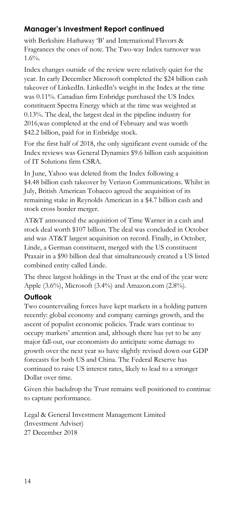# **Manager's Investment Report continued**

with Berkshire Hathaway 'B' and International Flavors & Fragrances the ones of note. The Two-way Index turnover was 1.6%.

Index changes outside of the review were relatively quiet for the year. In early December Microsoft completed the \$24 billion cash takeover of LinkedIn. LinkedIn's weight in the Index at the time was 0.11%. Canadian firm Enbridge purchased the US Index constituent Spectra Energy which at the time was weighted at 0.13%. The deal, the largest deal in the pipeline industry for 2016,was completed at the end of February and was worth \$42.2 billion, paid for in Enbridge stock.

For the first half of 2018, the only significant event outside of the Index reviews was General Dynamics \$9.6 billion cash acquisition of IT Solutions firm CSRA.

In June, Yahoo was deleted from the Index following a \$4.48 billion cash takeover by Verizon Communications. Whilst in July, British American Tobacco agreed the acquisition of its remaining stake in Reynolds American in a \$4.7 billion cash and stock cross border merger.

AT&T announced the acquisition of Time Warner in a cash and stock deal worth \$107 billion. The deal was concluded in October and was AT&T largest acquisition on record. Finally, in October, Linde, a German constituent, merged with the US constituent Praxair in a \$90 billion deal that simultaneously created a US listed combined entity called Linde.

The three largest holdings in the Trust at the end of the year were Apple (3.6%), Microsoft (3.4%) and Amazon.com (2.8%).

## **Outlook**

Two countervailing forces have kept markets in a holding pattern recently: global economy and company earnings growth, and the ascent of populist economic policies. Trade wars continue to occupy markets' attention and, although there has yet to be any major fall-out, our economists do anticipate some damage to growth over the next year so have slightly revised down our GDP forecasts for both US and China. The Federal Reserve has continued to raise US interest rates, likely to lead to a stronger Dollar over time.

Given this backdrop the Trust remains well positioned to continue to capture performance.

Legal & General Investment Management Limited (Investment Adviser) 27 December 2018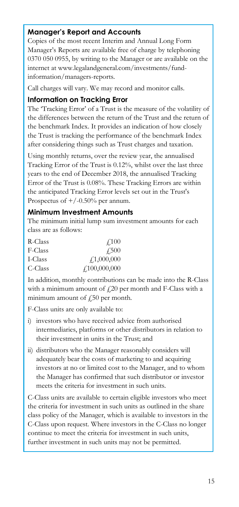## **Manager's Report and Accounts**

Copies of the most recent Interim and Annual Long Form Manager's Reports are available free of charge by telephoning 0370 050 0955, by writing to the Manager or are available on the internet at www.legalandgeneral.com/investments/fundinformation/managers-reports.

Call charges will vary. We may record and monitor calls.

#### **Information on Tracking Error**

The 'Tracking Error' of a Trust is the measure of the volatility of the differences between the return of the Trust and the return of the benchmark Index. It provides an indication of how closely the Trust is tracking the performance of the benchmark Index after considering things such as Trust charges and taxation.

Using monthly returns, over the review year, the annualised Tracking Error of the Trust is 0.12%, whilst over the last three years to the end of December 2018, the annualised Tracking Error of the Trust is 0.08%. These Tracking Errors are within the anticipated Tracking Error levels set out in the Trust's Prospectus of  $+/-0.50\%$  per annum.

### **Minimum Investment Amounts**

The minimum initial lump sum investment amounts for each class are as follows:

| R-Class | $\angle 100$                      |
|---------|-----------------------------------|
| F-Class | <b>£500</b>                       |
| I-Class | f1,000,000                        |
| C-Class | $\textcolor{blue}{f_100,000,000}$ |

In addition, monthly contributions can be made into the R-Class with a minimum amount of  $\text{\emph{f}}20$  per month and F-Class with a minimum amount of  $f(50)$  per month.

F-Class units are only available to:

- i) investors who have received advice from authorised intermediaries, platforms or other distributors in relation to their investment in units in the Trust; and
- ii) distributors who the Manager reasonably considers will adequately bear the costs of marketing to and acquiring investors at no or limited cost to the Manager, and to whom the Manager has confirmed that such distributor or investor meets the criteria for investment in such units.

C-Class units are available to certain eligible investors who meet the criteria for investment in such units as outlined in the share class policy of the Manager, which is available to investors in the C-Class upon request. Where investors in the C-Class no longer continue to meet the criteria for investment in such units, further investment in such units may not be permitted.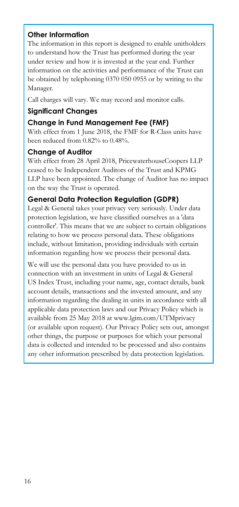## **Other Information**

The information in this report is designed to enable unitholders to understand how the Trust has performed during the year under review and how it is invested at the year end. Further information on the activities and performance of the Trust can be obtained by telephoning 0370 050 0955 or by writing to the Manager.

Call charges will vary. We may record and monitor calls.

## **Significant Changes**

## **Change in Fund Management Fee (FMF)**

With effect from 1 June 2018, the FMF for R-Class units have been reduced from 0.82% to 0.48%.

## **Change of Auditor**

With effect from 28 April 2018, PricewaterhouseCoopers LLP ceased to be Independent Auditors of the Trust and KPMG LLP have been appointed. The change of Auditor has no impact on the way the Trust is operated.

## **General Data Protection Regulation (GDPR)**

Legal & General takes your privacy very seriously. Under data protection legislation, we have classified ourselves as a 'data controller'. This means that we are subject to certain obligations relating to how we process personal data. These obligations include, without limitation, providing individuals with certain information regarding how we process their personal data.

We will use the personal data you have provided to us in connection with an investment in units of Legal & General US Index Trust, including your name, age, contact details, bank account details, transactions and the invested amount, and any information regarding the dealing in units in accordance with all applicable data protection laws and our Privacy Policy which is available from 25 May 2018 at www.lgim.com/UTMprivacy (or available upon request). Our Privacy Policy sets out, amongst other things, the purpose or purposes for which your personal data is collected and intended to be processed and also contains any other information prescribed by data protection legislation.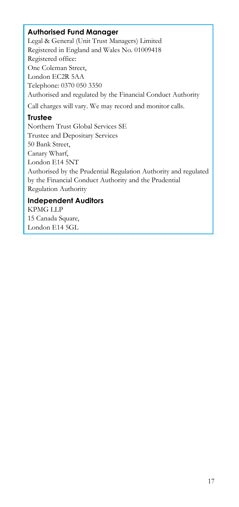## **Authorised Fund Manager**

Legal & General (Unit Trust Managers) Limited Registered in England and Wales No. 01009418 Registered office: One Coleman Street, London EC2R 5AA Telephone: 0370 050 3350 Authorised and regulated by the Financial Conduct Authority Call charges will vary. We may record and monitor calls. **Trustee** Northern Trust Global Services SE

Trustee and Depositary Services 50 Bank Street, Canary Wharf, London E14 5NT Authorised by the Prudential Regulation Authority and regulated by the Financial Conduct Authority and the Prudential Regulation Authority

### **Independent Auditors**

KPMG LLP 15 Canada Square, London E14 5GL